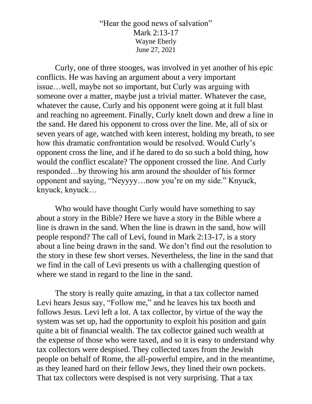"Hear the good news of salvation" Mark 2:13-17 Wayne Eberly June 27, 2021

Curly, one of three stooges, was involved in yet another of his epic conflicts. He was having an argument about a very important issue…well, maybe not so important, but Curly was arguing with someone over a matter, maybe just a trivial matter. Whatever the case, whatever the cause, Curly and his opponent were going at it full blast and reaching no agreement. Finally, Curly knelt down and drew a line in the sand. He dared his opponent to cross over the line. Me, all of six or seven years of age, watched with keen interest, holding my breath, to see how this dramatic confrontation would be resolved. Would Curly's opponent cross the line, and if he dared to do so such a bold thing, how would the conflict escalate? The opponent crossed the line. And Curly responded…by throwing his arm around the shoulder of his former opponent and saying, "Neyyyy…now you're on my side." Knyuck, knyuck, knyuck…

Who would have thought Curly would have something to say about a story in the Bible? Here we have a story in the Bible where a line is drawn in the sand. When the line is drawn in the sand, how will people respond? The call of Levi, found in Mark 2:13-17, is a story about a line being drawn in the sand. We don't find out the resolution to the story in these few short verses. Nevertheless, the line in the sand that we find in the call of Levi presents us with a challenging question of where we stand in regard to the line in the sand.

The story is really quite amazing, in that a tax collector named Levi hears Jesus say, "Follow me," and he leaves his tax booth and follows Jesus. Levi left a lot. A tax collector, by virtue of the way the system was set up, had the opportunity to exploit his position and gain quite a bit of financial wealth. The tax collector gained such wealth at the expense of those who were taxed, and so it is easy to understand why tax collectors were despised. They collected taxes from the Jewish people on behalf of Rome, the all-powerful empire, and in the meantime, as they leaned hard on their fellow Jews, they lined their own pockets. That tax collectors were despised is not very surprising. That a tax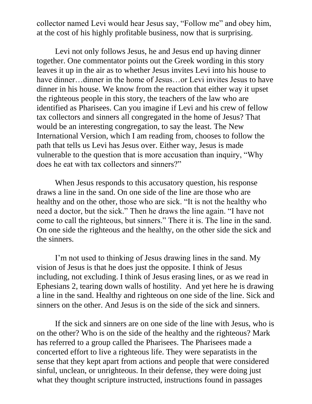collector named Levi would hear Jesus say, "Follow me" and obey him, at the cost of his highly profitable business, now that is surprising.

Levi not only follows Jesus, he and Jesus end up having dinner together. One commentator points out the Greek wording in this story leaves it up in the air as to whether Jesus invites Levi into his house to have dinner...dinner in the home of Jesus...or Levi invites Jesus to have dinner in his house. We know from the reaction that either way it upset the righteous people in this story, the teachers of the law who are identified as Pharisees. Can you imagine if Levi and his crew of fellow tax collectors and sinners all congregated in the home of Jesus? That would be an interesting congregation, to say the least. The New International Version, which I am reading from, chooses to follow the path that tells us Levi has Jesus over. Either way, Jesus is made vulnerable to the question that is more accusation than inquiry, "Why does he eat with tax collectors and sinners?"

When Jesus responds to this accusatory question, his response draws a line in the sand. On one side of the line are those who are healthy and on the other, those who are sick. "It is not the healthy who need a doctor, but the sick." Then he draws the line again. "I have not come to call the righteous, but sinners." There it is. The line in the sand. On one side the righteous and the healthy, on the other side the sick and the sinners.

I'm not used to thinking of Jesus drawing lines in the sand. My vision of Jesus is that he does just the opposite. I think of Jesus including, not excluding. I think of Jesus erasing lines, or as we read in Ephesians 2, tearing down walls of hostility. And yet here he is drawing a line in the sand. Healthy and righteous on one side of the line. Sick and sinners on the other. And Jesus is on the side of the sick and sinners.

If the sick and sinners are on one side of the line with Jesus, who is on the other? Who is on the side of the healthy and the righteous? Mark has referred to a group called the Pharisees. The Pharisees made a concerted effort to live a righteous life. They were separatists in the sense that they kept apart from actions and people that were considered sinful, unclean, or unrighteous. In their defense, they were doing just what they thought scripture instructed, instructions found in passages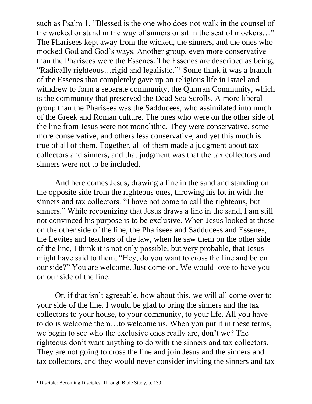such as Psalm 1. "Blessed is the one who does not walk in the counsel of the wicked or stand in the way of sinners or sit in the seat of mockers…" The Pharisees kept away from the wicked, the sinners, and the ones who mocked God and God's ways. Another group, even more conservative than the Pharisees were the Essenes. The Essenes are described as being, "Radically righteous... rigid and legalistic."<sup>1</sup> Some think it was a branch of the Essenes that completely gave up on religious life in Israel and withdrew to form a separate community, the Qumran Community, which is the community that preserved the Dead Sea Scrolls. A more liberal group than the Pharisees was the Sadducees, who assimilated into much of the Greek and Roman culture. The ones who were on the other side of the line from Jesus were not monolithic. They were conservative, some more conservative, and others less conservative, and yet this much is true of all of them. Together, all of them made a judgment about tax collectors and sinners, and that judgment was that the tax collectors and sinners were not to be included.

And here comes Jesus, drawing a line in the sand and standing on the opposite side from the righteous ones, throwing his lot in with the sinners and tax collectors. "I have not come to call the righteous, but sinners." While recognizing that Jesus draws a line in the sand, I am still not convinced his purpose is to be exclusive. When Jesus looked at those on the other side of the line, the Pharisees and Sadducees and Essenes, the Levites and teachers of the law, when he saw them on the other side of the line, I think it is not only possible, but very probable, that Jesus might have said to them, "Hey, do you want to cross the line and be on our side?" You are welcome. Just come on. We would love to have you on our side of the line.

Or, if that isn't agreeable, how about this, we will all come over to your side of the line. I would be glad to bring the sinners and the tax collectors to your house, to your community, to your life. All you have to do is welcome them…to welcome us. When you put it in these terms, we begin to see who the exclusive ones really are, don't we? The righteous don't want anything to do with the sinners and tax collectors. They are not going to cross the line and join Jesus and the sinners and tax collectors, and they would never consider inviting the sinners and tax

<sup>1</sup> Disciple: Becoming Disciples Through Bible Study, p. 139.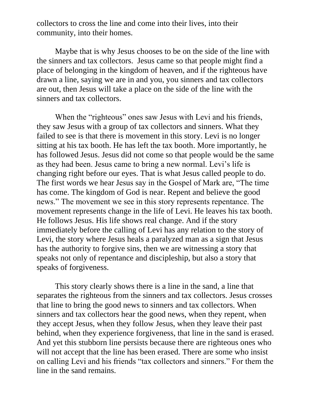collectors to cross the line and come into their lives, into their community, into their homes.

Maybe that is why Jesus chooses to be on the side of the line with the sinners and tax collectors. Jesus came so that people might find a place of belonging in the kingdom of heaven, and if the righteous have drawn a line, saying we are in and you, you sinners and tax collectors are out, then Jesus will take a place on the side of the line with the sinners and tax collectors.

When the "righteous" ones saw Jesus with Levi and his friends, they saw Jesus with a group of tax collectors and sinners. What they failed to see is that there is movement in this story. Levi is no longer sitting at his tax booth. He has left the tax booth. More importantly, he has followed Jesus. Jesus did not come so that people would be the same as they had been. Jesus came to bring a new normal. Levi's life is changing right before our eyes. That is what Jesus called people to do. The first words we hear Jesus say in the Gospel of Mark are, "The time has come. The kingdom of God is near. Repent and believe the good news." The movement we see in this story represents repentance. The movement represents change in the life of Levi. He leaves his tax booth. He follows Jesus. His life shows real change. And if the story immediately before the calling of Levi has any relation to the story of Levi, the story where Jesus heals a paralyzed man as a sign that Jesus has the authority to forgive sins, then we are witnessing a story that speaks not only of repentance and discipleship, but also a story that speaks of forgiveness.

This story clearly shows there is a line in the sand, a line that separates the righteous from the sinners and tax collectors. Jesus crosses that line to bring the good news to sinners and tax collectors. When sinners and tax collectors hear the good news, when they repent, when they accept Jesus, when they follow Jesus, when they leave their past behind, when they experience forgiveness, that line in the sand is erased. And yet this stubborn line persists because there are righteous ones who will not accept that the line has been erased. There are some who insist on calling Levi and his friends "tax collectors and sinners." For them the line in the sand remains.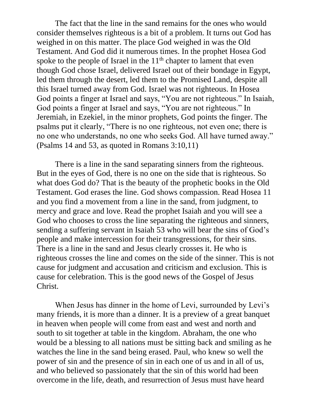The fact that the line in the sand remains for the ones who would consider themselves righteous is a bit of a problem. It turns out God has weighed in on this matter. The place God weighed in was the Old Testament. And God did it numerous times. In the prophet Hosea God spoke to the people of Israel in the  $11<sup>th</sup>$  chapter to lament that even though God chose Israel, delivered Israel out of their bondage in Egypt, led them through the desert, led them to the Promised Land, despite all this Israel turned away from God. Israel was not righteous. In Hosea God points a finger at Israel and says, "You are not righteous." In Isaiah, God points a finger at Israel and says, "You are not righteous." In Jeremiah, in Ezekiel, in the minor prophets, God points the finger. The psalms put it clearly, "There is no one righteous, not even one; there is no one who understands, no one who seeks God. All have turned away." (Psalms 14 and 53, as quoted in Romans 3:10,11)

There is a line in the sand separating sinners from the righteous. But in the eyes of God, there is no one on the side that is righteous. So what does God do? That is the beauty of the prophetic books in the Old Testament. God erases the line. God shows compassion. Read Hosea 11 and you find a movement from a line in the sand, from judgment, to mercy and grace and love. Read the prophet Isaiah and you will see a God who chooses to cross the line separating the righteous and sinners, sending a suffering servant in Isaiah 53 who will bear the sins of God's people and make intercession for their transgressions, for their sins. There is a line in the sand and Jesus clearly crosses it. He who is righteous crosses the line and comes on the side of the sinner. This is not cause for judgment and accusation and criticism and exclusion. This is cause for celebration. This is the good news of the Gospel of Jesus Christ.

When Jesus has dinner in the home of Levi, surrounded by Levi's many friends, it is more than a dinner. It is a preview of a great banquet in heaven when people will come from east and west and north and south to sit together at table in the kingdom. Abraham, the one who would be a blessing to all nations must be sitting back and smiling as he watches the line in the sand being erased. Paul, who knew so well the power of sin and the presence of sin in each one of us and in all of us, and who believed so passionately that the sin of this world had been overcome in the life, death, and resurrection of Jesus must have heard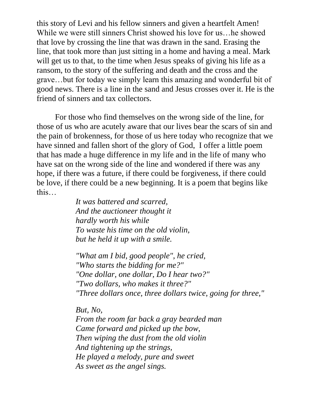this story of Levi and his fellow sinners and given a heartfelt Amen! While we were still sinners Christ showed his love for us…he showed that love by crossing the line that was drawn in the sand. Erasing the line, that took more than just sitting in a home and having a meal. Mark will get us to that, to the time when Jesus speaks of giving his life as a ransom, to the story of the suffering and death and the cross and the grave…but for today we simply learn this amazing and wonderful bit of good news. There is a line in the sand and Jesus crosses over it. He is the friend of sinners and tax collectors.

For those who find themselves on the wrong side of the line, for those of us who are acutely aware that our lives bear the scars of sin and the pain of brokenness, for those of us here today who recognize that we have sinned and fallen short of the glory of God, I offer a little poem that has made a huge difference in my life and in the life of many who have sat on the wrong side of the line and wondered if there was any hope, if there was a future, if there could be forgiveness, if there could be love, if there could be a new beginning. It is a poem that begins like this…

> *It was battered and scarred, And the auctioneer thought it hardly worth his while To waste his time on the old violin, but he held it up with a smile.*

*"What am I bid, good people", he cried, "Who starts the bidding for me?" "One dollar, one dollar, Do I hear two?" "Two dollars, who makes it three?" "Three dollars once, three dollars twice, going for three,"* 

*But, No,* 

*From the room far back a gray bearded man Came forward and picked up the bow, Then wiping the dust from the old violin And tightening up the strings, He played a melody, pure and sweet As sweet as the angel sings.*